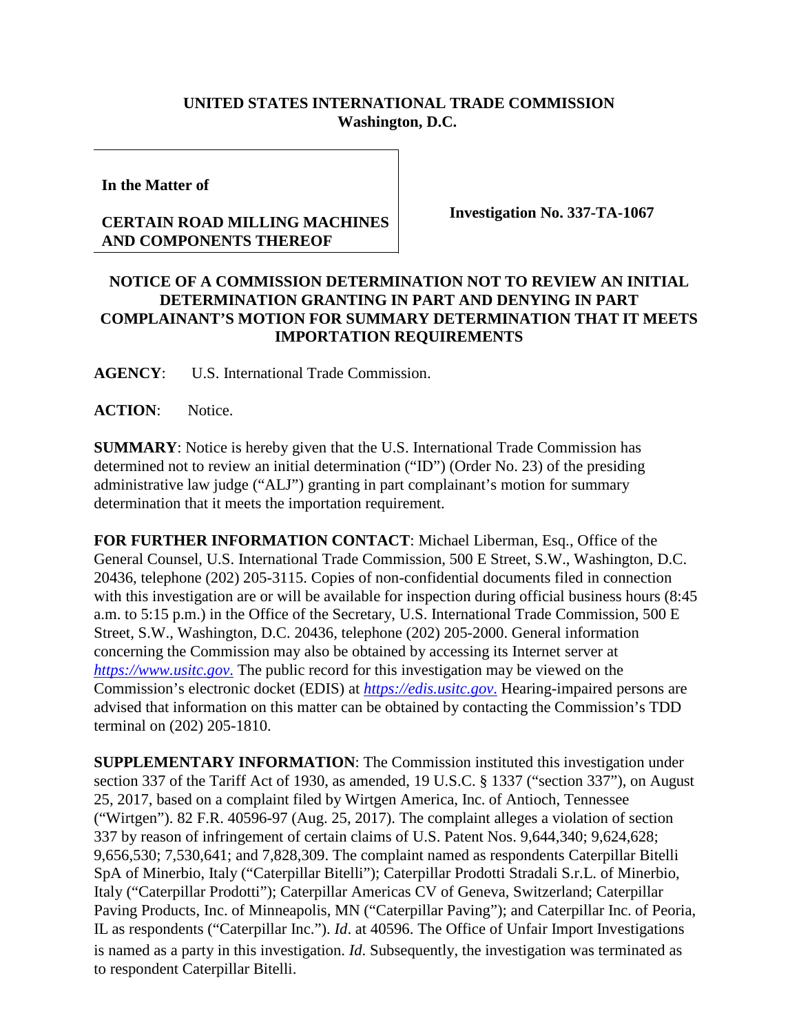## **UNITED STATES INTERNATIONAL TRADE COMMISSION Washington, D.C.**

**In the Matter of**

## **CERTAIN ROAD MILLING MACHINES AND COMPONENTS THEREOF**

**Investigation No. 337-TA-1067**

## **NOTICE OF A COMMISSION DETERMINATION NOT TO REVIEW AN INITIAL DETERMINATION GRANTING IN PART AND DENYING IN PART COMPLAINANT'S MOTION FOR SUMMARY DETERMINATION THAT IT MEETS IMPORTATION REQUIREMENTS**

**AGENCY**: U.S. International Trade Commission.

**ACTION**: Notice.

**SUMMARY**: Notice is hereby given that the U.S. International Trade Commission has determined not to review an initial determination ("ID") (Order No. 23) of the presiding administrative law judge ("ALJ") granting in part complainant's motion for summary determination that it meets the importation requirement.

**FOR FURTHER INFORMATION CONTACT**: Michael Liberman, Esq., Office of the General Counsel, U.S. International Trade Commission, 500 E Street, S.W., Washington, D.C. 20436, telephone (202) 205-3115. Copies of non-confidential documents filed in connection with this investigation are or will be available for inspection during official business hours (8:45 a.m. to 5:15 p.m.) in the Office of the Secretary, U.S. International Trade Commission, 500 E Street, S.W., Washington, D.C. 20436, telephone (202) 205-2000. General information concerning the Commission may also be obtained by accessing its Internet server at *[https://www.usitc.gov](https://www.usitc.gov./)*. The public record for this investigation may be viewed on the Commission's electronic docket (EDIS) at *[https://edis.usitc.gov](https://edis.usitc.gov./)*. Hearing-impaired persons are advised that information on this matter can be obtained by contacting the Commission's TDD terminal on (202) 205-1810.

**SUPPLEMENTARY INFORMATION**: The Commission instituted this investigation under section 337 of the Tariff Act of 1930, as amended, 19 U.S.C. § 1337 ("section 337"), on August 25, 2017, based on a complaint filed by Wirtgen America, Inc. of Antioch, Tennessee ("Wirtgen"). 82 F.R. 40596-97 (Aug. 25, 2017). The complaint alleges a violation of section 337 by reason of infringement of certain claims of U.S. Patent Nos. 9,644,340; 9,624,628; 9,656,530; 7,530,641; and 7,828,309. The complaint named as respondents Caterpillar Bitelli SpA of Minerbio, Italy ("Caterpillar Bitelli"); Caterpillar Prodotti Stradali S.r.L. of Minerbio, Italy ("Caterpillar Prodotti"); Caterpillar Americas CV of Geneva, Switzerland; Caterpillar Paving Products, Inc. of Minneapolis, MN ("Caterpillar Paving"); and Caterpillar Inc. of Peoria, IL as respondents ("Caterpillar Inc."). *Id*. at 40596. The Office of Unfair Import Investigations is named as a party in this investigation. *Id*. Subsequently, the investigation was terminated as to respondent Caterpillar Bitelli.